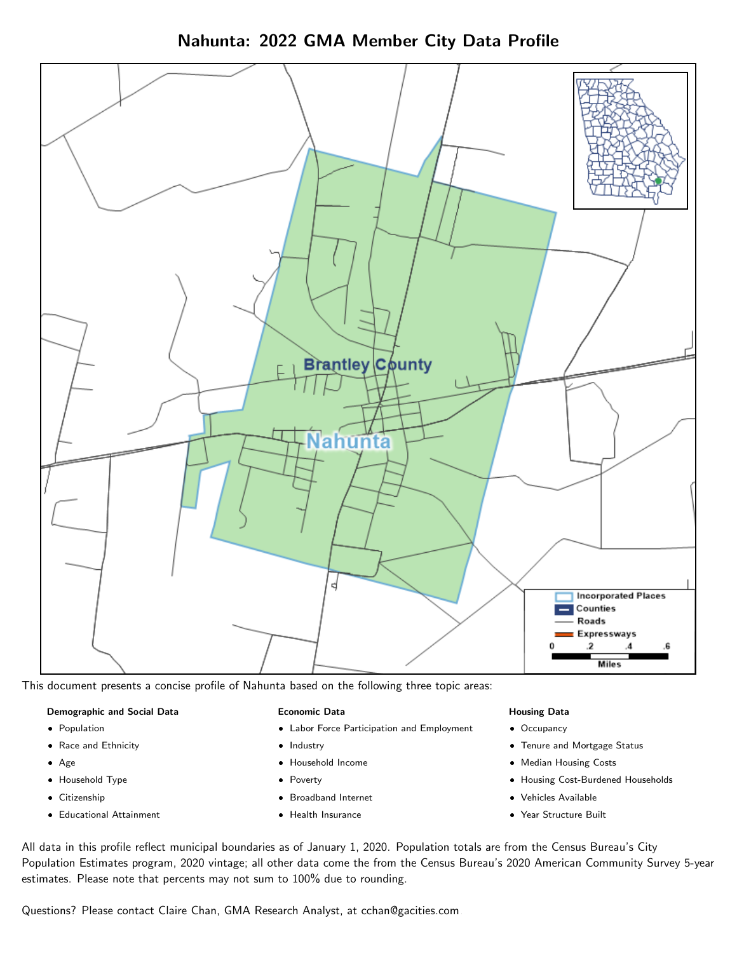Nahunta: 2022 GMA Member City Data Profile



This document presents a concise profile of Nahunta based on the following three topic areas:

#### Demographic and Social Data

- **•** Population
- Race and Ethnicity
- Age
- Household Type
- **Citizenship**
- Educational Attainment

#### Economic Data

- Labor Force Participation and Employment
- Industry
- Household Income
- Poverty
- Broadband Internet
- Health Insurance

#### Housing Data

- Occupancy
- Tenure and Mortgage Status
- Median Housing Costs
- Housing Cost-Burdened Households
- Vehicles Available
- Year Structure Built

All data in this profile reflect municipal boundaries as of January 1, 2020. Population totals are from the Census Bureau's City Population Estimates program, 2020 vintage; all other data come the from the Census Bureau's 2020 American Community Survey 5-year estimates. Please note that percents may not sum to 100% due to rounding.

Questions? Please contact Claire Chan, GMA Research Analyst, at [cchan@gacities.com.](mailto:cchan@gacities.com)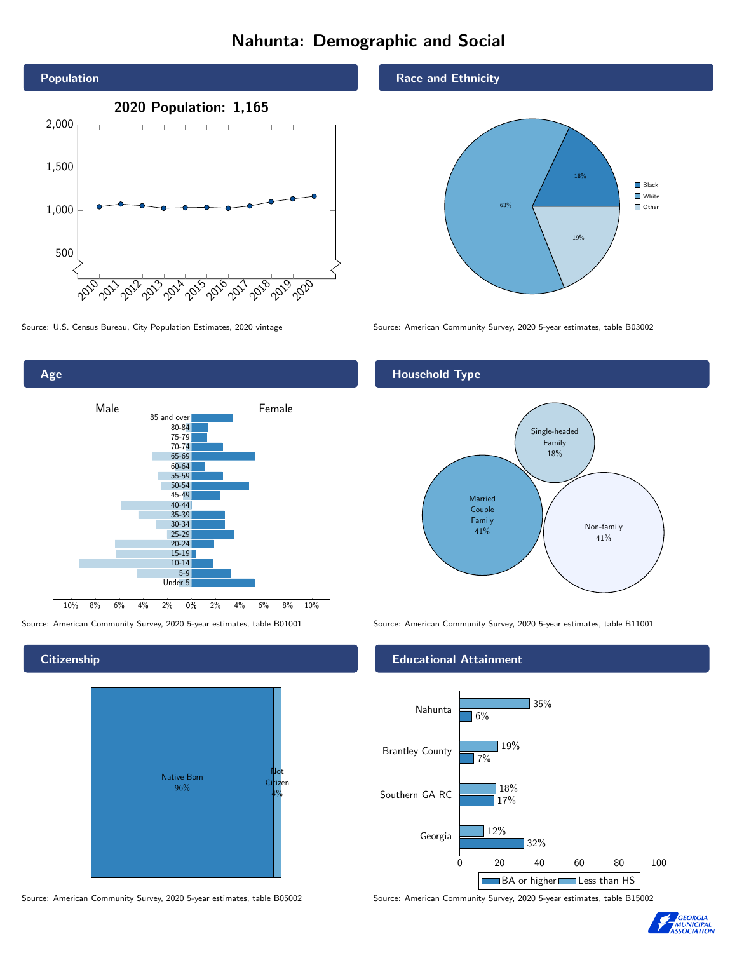# Nahunta: Demographic and Social



 $2\%$  4% 6% 8% 10% Male **Example 18** Temale 10% 8% 6% 4% 2% 85 and over 80-84 75-79 70-74 65-69 60-64 55-59 50-54 45-49 40-44 35-39 30-34 25-29 20-24  $15-19$ 10-14 5-9 Under 5

## **Citizenship**

Age



Source: American Community Survey, 2020 5-year estimates, table B05002 Source: American Community Survey, 2020 5-year estimates, table B15002

### Race and Ethnicity



Source: U.S. Census Bureau, City Population Estimates, 2020 vintage Source: American Community Survey, 2020 5-year estimates, table B03002

## Household Type



Source: American Community Survey, 2020 5-year estimates, table B01001 Source: American Community Survey, 2020 5-year estimates, table B11001

## Educational Attainment



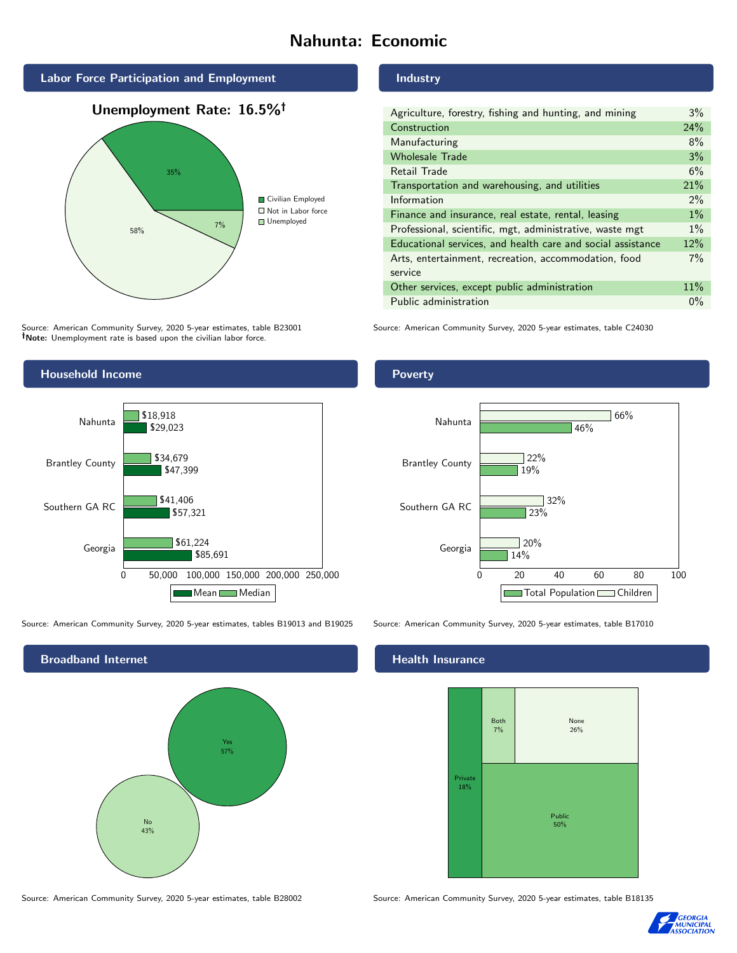# Nahunta: Economic







Source: American Community Survey, 2020 5-year estimates, table B23001 Note: Unemployment rate is based upon the civilian labor force.



| Agriculture, forestry, fishing and hunting, and mining      | $3\%$ |
|-------------------------------------------------------------|-------|
| Construction                                                | 24%   |
| Manufacturing                                               | 8%    |
| <b>Wholesale Trade</b>                                      | 3%    |
| Retail Trade                                                | 6%    |
| Transportation and warehousing, and utilities               | 21%   |
| Information                                                 | $2\%$ |
| Finance and insurance, real estate, rental, leasing         | $1\%$ |
| Professional, scientific, mgt, administrative, waste mgt    | $1\%$ |
| Educational services, and health care and social assistance | 12%   |
| Arts, entertainment, recreation, accommodation, food        | 7%    |
| service                                                     |       |
| Other services, except public administration                | 11%   |
| Public administration                                       | $0\%$ |

Source: American Community Survey, 2020 5-year estimates, table C24030



Source: American Community Survey, 2020 5-year estimates, tables B19013 and B19025 Source: American Community Survey, 2020 5-year estimates, table B17010



Poverty



## **Health Insurance**



Source: American Community Survey, 2020 5-year estimates, table B28002 Source: American Community Survey, 2020 5-year estimates, table B18135